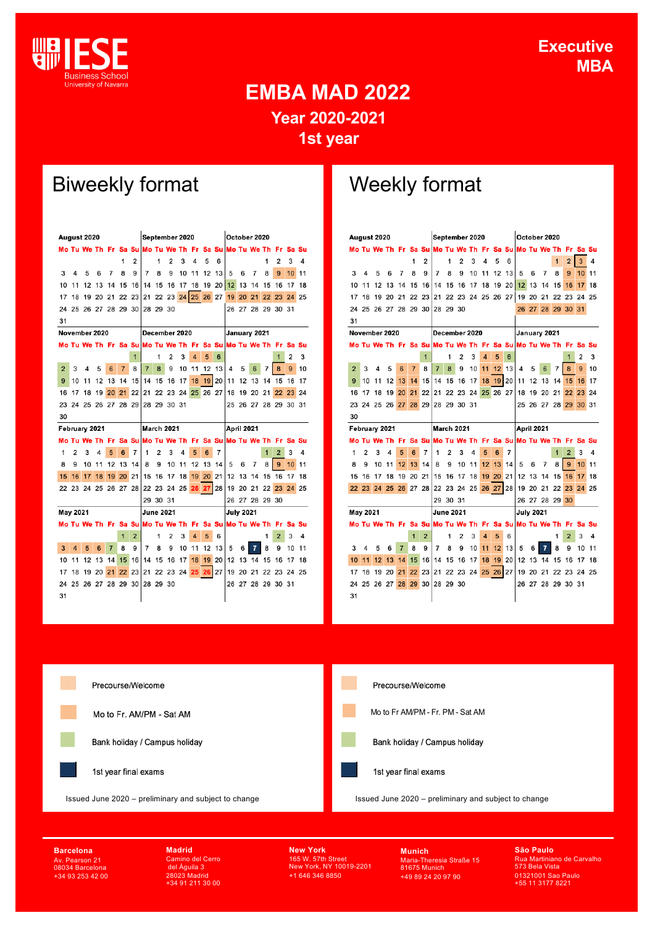

## **EMBA MAD 2022 Year 2020-2021 1st year**

# Biweekly format Weekly format

| August 2020    |          |                      |          |                |                   | September 2020  |                               |                |                                                                |       |                | October 2020 |    |                  |    |                      |    |                |    |    |
|----------------|----------|----------------------|----------|----------------|-------------------|-----------------|-------------------------------|----------------|----------------------------------------------------------------|-------|----------------|--------------|----|------------------|----|----------------------|----|----------------|----|----|
|                |          |                      |          |                |                   |                 |                               |                | Mo Tu We Th Fr Sa Su Mo Tu We Th Fr Sa Su Mo Tu We Th Fr Sa Su |       |                |              |    |                  |    |                      |    |                |    |    |
|                |          |                      |          |                | 1                 | 2               |                               | 1              | 2                                                              | 3     | 4              | 5            | 6  |                  |    |                      | 1  | 2              | 3  | 4  |
| 3              | 4        | 5                    | 6        | 7              | 8                 | 9               | 7                             | 8              | 9                                                              | 10    | 11             | 12           | 13 | 5                | 6  | 7                    | 8  | 9              | 10 | 11 |
| 10             | 11       | 12                   | 13       | 14             | 15                | 16              | 14                            | 15             | 16                                                             | 17 18 |                | 19 20 12     |    |                  | 13 | 14                   | 15 | 16             | 17 | 18 |
| 17             | 18       |                      | 19 20 21 |                |                   | 22 23           |                               |                | 21 22 23 24 25 26 27                                           |       |                |              |    | 19               | 20 | 21                   | 22 | 23             | 24 | 25 |
|                |          |                      |          |                |                   |                 | 24 25 26 27 28 29 30 28 29 30 |                |                                                                |       |                |              |    |                  |    | 26 27 28 29 30 31    |    |                |    |    |
| 31             |          |                      |          |                |                   |                 |                               |                |                                                                |       |                |              |    |                  |    |                      |    |                |    |    |
|                |          | November 2020        |          |                |                   |                 |                               |                | December 2020                                                  |       |                |              |    | January 2021     |    |                      |    |                |    |    |
|                |          |                      |          |                |                   |                 |                               |                | Mo Tu We Th Fr Sa Su Mo Tu We Th Fr Sa Su Mo Tu We Th Fr Sa Su |       |                |              |    |                  |    |                      |    |                |    |    |
|                |          |                      |          |                |                   | 1               |                               | 1              | 2                                                              | 3     | $\overline{4}$ | 5            | 6  |                  |    |                      |    | 1              | 2  | 3  |
| $\overline{2}$ | 3        | 4                    | 5        | 6              | $\overline{7}$    | 8               | $\overline{7}$                | 8              | 9                                                              | 10    | 11             | 12           | 13 | 4                | 5  | 6                    | 7  | 8              | 9  | 10 |
| 9              | 10       | 11                   | 12       | 13             | 14                | 15 <sup>1</sup> | 14                            |                | 15 16                                                          | 17    | 18             | 19           | 20 | 11               | 12 | 13                   | 14 | 15             | 16 | 17 |
| 16             | 17       | 18                   | 19       | 20             | 21                |                 |                               |                | 22 21 22 23 24 25 26 27                                        |       |                |              |    |                  |    | 18 19 20 21          |    | 22             | 23 | 24 |
|                |          |                      |          |                |                   |                 |                               |                | 23 24 25 26 27 28 29 28 29 30 31                               |       |                |              |    |                  |    | 25 26 27 28 29 30 31 |    |                |    |    |
| 30             |          |                      |          |                |                   |                 |                               |                |                                                                |       |                |              |    |                  |    |                      |    |                |    |    |
| February 2021  |          |                      |          |                | <b>March 2021</b> |                 |                               |                |                                                                |       | April 2021     |              |    |                  |    |                      |    |                |    |    |
|                |          |                      |          |                |                   |                 |                               |                |                                                                |       |                |              |    |                  |    |                      |    |                |    |    |
|                |          |                      |          |                |                   |                 |                               |                | Mo Tu We Th Fr Sa SulMo Tu We Th Fr Sa SulMo Tu We Th Fr Sa Su |       |                |              |    |                  |    |                      |    |                |    |    |
| 1              | 2        | 3                    | 4        | 5              | 6                 | 7               | 1                             | $\overline{2}$ | 3                                                              | 4     | 5              | 6            | 7  |                  |    |                      | 1  | $\overline{2}$ | 3  | 4  |
| 8              | 9        | 10                   | 11       | 12             | 13                | 14              | 8                             | 9              | 10                                                             | 11    | 12             | 13           | 14 | 5                | 6  | 7                    | 8  | 9              | 10 | 11 |
| 15             | 16       | 17                   | 18       | 19             |                   | $20 \t21$       | 15                            | 16             | 17 18                                                          |       |                | 19 20 21     |    | 12               | 13 | 14                   | 15 | 16             | 17 | 18 |
|                |          | 22 23 24 25 26 27 28 |          |                |                   |                 |                               |                | 22 23 24 25 26 27 28                                           |       |                |              |    |                  |    | 19 20 21 22          |    | 23             | 24 | 25 |
|                |          |                      |          |                |                   |                 |                               | 29 30 31       |                                                                |       |                |              |    |                  |    | 26 27 28 29 30       |    |                |    |    |
|                | May 2021 |                      |          |                |                   |                 |                               |                | <b>June 2021</b>                                               |       |                |              |    | <b>July 2021</b> |    |                      |    |                |    |    |
|                |          |                      |          |                |                   |                 |                               |                | Mo Tu We Th Fr Sa Su Mo Tu We Th Fr Sa Su Mo Tu We Th Fr Sa    |       |                |              |    |                  |    |                      |    |                |    | Su |
|                |          |                      |          |                | $\overline{1}$    | $\overline{2}$  |                               | 1              | 2                                                              | 3     | 4              | 5            | 6  |                  |    |                      | 1  | $\overline{2}$ | 3  | 4  |
| 3              | 4        | 5                    | 6        | $\overline{7}$ | 8                 | 9               | 7                             | 8              | 9                                                              | 10 11 |                | 12           | 13 | 5                | 6  | 7                    | 8  | 9              | 10 | 11 |
| 10             | 11       | 12                   | 13       | 14             | 15                | 16              | 14                            | 15             | 16                                                             | 17    | 18             | 19           | 20 | 12               |    | 13 14 15             |    | 16             | 17 | 18 |
| 17             | 18       | 19 20                |          | 21             |                   | 22 23           |                               |                | 21 22 23 24 25 26 27                                           |       |                |              |    |                  |    | 19 20 21 22 23 24 25 |    |                |    |    |
|                |          |                      |          |                |                   |                 | 24 25 26 27 28 29 30 28 29 30 |                |                                                                |       |                |              |    | 26               |    | 27 28 29 30 31       |    |                |    |    |

| August 2020    |                |                      |                 |                | September 2020 |                |                      |                  |                      |    | October 2020            |       |    |                            |    |                                                                |       |                |          |    |
|----------------|----------------|----------------------|-----------------|----------------|----------------|----------------|----------------------|------------------|----------------------|----|-------------------------|-------|----|----------------------------|----|----------------------------------------------------------------|-------|----------------|----------|----|
|                |                |                      |                 |                |                |                |                      |                  |                      |    |                         |       |    |                            |    | Mo Tu We Th Fr Sa Su Mo Tu We Th Fr Sa Su Mo Tu We Th          |       |                | Fr Sa Su |    |
|                |                |                      |                 |                | 1              | 2              |                      | 1                | 2                    | 3  | 4                       | 5     | 6  |                            |    |                                                                | 1     | $\overline{2}$ | 3        | 4  |
| 3              | 4              | 5                    | 6               | 7              | 8              | 9              | 7                    | 8                | 9                    | 10 | 11                      | 12    | 13 | 5                          | 6  | 7                                                              | 8     | 9              | 10       | 11 |
| 10             | 11             | 12                   | 13              | 14             | 15             | 16             | 14                   |                  | 15 16                | 17 | 18                      | 19 20 |    | 12 <sup>2</sup>            | 13 | 14                                                             | 15    | 16             | 17       | 18 |
| 17             | 18             | 19                   | 20 21           |                | 22 23          |                |                      |                  |                      |    |                         |       |    | 21 22 23 24 25 26 27 19 20 |    | 21                                                             | 22 23 |                | 24 25    |    |
|                |                | 24 25 26 27 28 29 30 |                 |                |                |                | 28 29 30             |                  |                      |    |                         |       |    | 26                         |    | 27 28                                                          | 29    | 30             | 31       |    |
| 31             |                |                      |                 |                |                |                |                      |                  |                      |    |                         |       |    |                            |    |                                                                |       |                |          |    |
|                |                | November 2020        |                 |                |                |                |                      |                  | December 2020        |    |                         |       |    | January 2021               |    |                                                                |       |                |          |    |
|                |                |                      |                 |                |                |                |                      |                  |                      |    |                         |       |    |                            |    | Mo Tu We Th Fr Sa Su Mo Tu We Th Fr Sa Su Mo Tu We Th Fr Sa Su |       |                |          |    |
|                |                |                      |                 |                |                | 1              |                      | 1                | 2                    | 3  | 4                       | 5     | 6  |                            |    |                                                                |       | 1              | 2        | 3  |
| $\overline{2}$ | 3              | 4                    | 5               | 6              | $\overline{7}$ | 8              | $\overline{7}$       | 8                | 9                    | 10 | 11                      | 12    | 13 | 4                          | 5  | 6                                                              | 7     | 8              | 9        | 10 |
| 9              | 10             | 11                   | 12              | 13             | 14             | 15             | 14                   | 15 16            |                      | 17 | 18                      | 19    | 20 | 11                         |    | 12 13                                                          | 14    | 15             | 16       | 17 |
| 16             | 17             | 18                   | 19              | 20             | 21             | 22             |                      |                  | 21 22 23 24 25 26 27 |    |                         |       |    |                            |    | 18 19 20                                                       | 21    | 22             | 23       | 24 |
|                |                | 23 24 25 26 27 28 29 |                 |                |                |                |                      |                  | 28 29 30 31          |    |                         |       |    |                            |    | 25 26 27 28 29                                                 |       |                | 30       | 31 |
| 30             |                |                      |                 |                |                |                |                      |                  |                      |    |                         |       |    |                            |    |                                                                |       |                |          |    |
|                | February 2021  |                      |                 |                |                | March 2021     |                      |                  |                      |    | April 2021              |       |    |                            |    |                                                                |       |                |          |    |
|                |                |                      |                 |                |                |                |                      |                  |                      |    |                         |       |    |                            |    |                                                                |       |                |          |    |
|                |                |                      |                 |                |                |                |                      |                  |                      |    |                         |       |    |                            |    | Mo Tu We Th Fr Sa Su Mo Tu We Th Fr Sa Su Mo Tu We Th Fr Sa Su |       |                |          |    |
| 1              | $\overline{2}$ | 3                    | 4               | 5              | $6\phantom{1}$ | 7              | 1                    | $\overline{2}$   | 3                    | 4  | 5                       | 6     | 7  |                            |    |                                                                | 1     | $\overline{2}$ | 3        | 4  |
| 8              | 9              | 10                   | 11              | 12             | 13             | 14             | 8                    | 9                | 10                   | 11 | 12                      | 13    | 14 | 5                          | 6  | $\overline{7}$                                                 | 8     | 9              | 10       | 11 |
| 15             | 16             | 17                   | 18              |                | 19 20 21       |                | 15                   |                  | 16 17 18             |    | 19                      | 20    | 21 | 12                         | 13 | 14                                                             | 15    | 16             | 17       | 18 |
| 22             | 23             | 24                   | 25 <sup>1</sup> |                |                |                | 26 27 28 22 23 24 25 |                  |                      |    |                         | 26 27 |    | 28 19 20 21                |    |                                                                | 22    | 23             | 24       | 25 |
|                |                |                      |                 |                |                |                |                      | 29 30 31         |                      |    |                         |       |    |                            |    | 26 27 28 29                                                    |       | 30             |          |    |
|                | May 2021       |                      |                 |                |                |                |                      | <b>June 2021</b> |                      |    |                         |       |    | <b>July 2021</b>           |    |                                                                |       |                |          |    |
|                |                |                      |                 |                |                |                |                      |                  |                      |    |                         |       |    |                            |    | Mo Tu We Th Fr Sa Su Mo Tu We Th Fr Sa Su Mo Tu We Th          |       |                | Fr Sa Su |    |
|                |                |                      |                 |                | 1              | $\overline{2}$ |                      | 1                | $\overline{2}$       | 3  | $\overline{\mathbf{4}}$ | 5     | 6  |                            |    |                                                                | 1     | $\overline{2}$ | 3        | 4  |
| 3              | 4              | 5                    | 6               | $\overline{7}$ | 8              | 9              | 7                    | 8                | 9                    | 10 | 11                      | 12    | 13 | 5                          | 6  | 7                                                              | 8     | 9              | 10       | 11 |
| 10             | 11             | 12                   | 13              | 14             | 15             | 16             | 14                   | 15               | 16                   | 17 | 18                      | 19    | 20 | 12                         |    | 13 14 15                                                       |       | 16             | 17       | 18 |
| 17             | 18             | 19 20                |                 | 21             | 22             | 23             |                      |                  | 21 22 23 24 25 26    |    |                         |       | 27 |                            |    | 19 20 21 22 23 24 25                                           |       |                |          |    |
|                |                | 24 25 26 27          |                 | 28             | 29             | 30             |                      | 28 29 30         |                      |    |                         |       |    |                            |    | 26 27 28 29 30 31                                              |       |                |          |    |



**Barcelona** Av. Pearson 21 08034 Barcelona +34 93 253 42 00 **Madrid** Camino del Cerro del Águila 3 28023 Madrid +34 91 211 30 00 **New York** 165 W. 57th Street New York, NY 10019-2201 +1 646 346 8850

**Munich** Maria-Theresia Straße 15 81675 Munich +49 89 24 20 97 90

**São Paulo** Rua Martiniano de Carvalho 573 Bela Vista 01321001 Sao Paulo +55 11 3177 8221